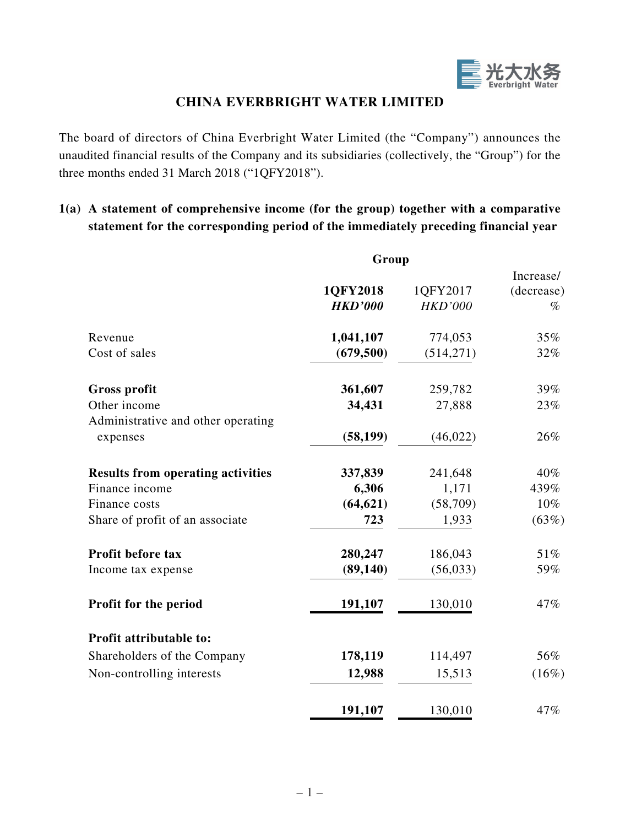

## **CHINA EVERBRIGHT WATER LIMITED**

The board of directors of China Everbright Water Limited (the "Company") announces the unaudited financial results of the Company and its subsidiaries (collectively, the "Group") for the three months ended 31 March 2018 ("1QFY2018").

## **1(a) A statement of comprehensive income (for the group) together with a comparative statement for the corresponding period of the immediately preceding financial year**

|                                          | Group          |                |            |
|------------------------------------------|----------------|----------------|------------|
|                                          |                |                | Increase/  |
|                                          | 1QFY2018       | 1QFY2017       | (decrease) |
|                                          | <b>HKD'000</b> | <b>HKD'000</b> | $\%$       |
| Revenue                                  | 1,041,107      | 774,053        | 35%        |
| Cost of sales                            | (679, 500)     | (514, 271)     | 32%        |
| <b>Gross profit</b>                      | 361,607        | 259,782        | 39%        |
| Other income                             | 34,431         | 27,888         | 23%        |
| Administrative and other operating       |                |                |            |
| expenses                                 | (58, 199)      | (46, 022)      | 26%        |
| <b>Results from operating activities</b> | 337,839        | 241,648        | 40%        |
| Finance income                           | 6,306          | 1,171          | 439%       |
| Finance costs                            | (64, 621)      | (58,709)       | 10%        |
| Share of profit of an associate          | 723            | 1,933          | (63%)      |
| Profit before tax                        | 280,247        | 186,043        | 51%        |
| Income tax expense                       | (89, 140)      | (56, 033)      | 59%        |
| Profit for the period                    | 191,107        | 130,010        | 47%        |
| Profit attributable to:                  |                |                |            |
| Shareholders of the Company              | 178,119        | 114,497        | 56%        |
| Non-controlling interests                | 12,988         | 15,513         | (16%)      |
|                                          | 191,107        | 130,010        | 47%        |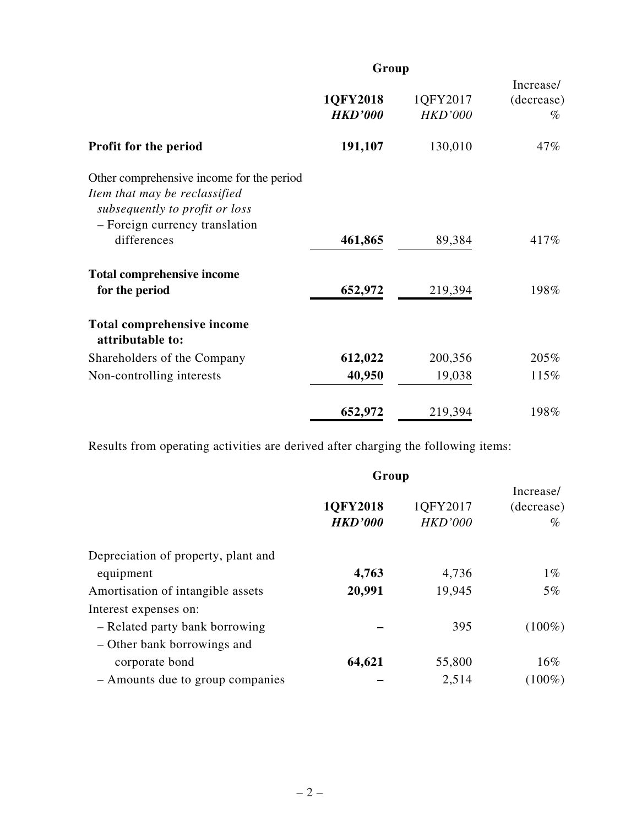|                                                                                                                                                               | Group                      |                            |                                 |
|---------------------------------------------------------------------------------------------------------------------------------------------------------------|----------------------------|----------------------------|---------------------------------|
|                                                                                                                                                               | 1QFY2018<br><b>HKD'000</b> | 1QFY2017<br><b>HKD'000</b> | Increase/<br>(decrease)<br>$\%$ |
| <b>Profit for the period</b>                                                                                                                                  | 191,107                    | 130,010                    | 47%                             |
| Other comprehensive income for the period<br>Item that may be reclassified<br>subsequently to profit or loss<br>- Foreign currency translation<br>differences | 461,865                    | 89,384                     | 417%                            |
| <b>Total comprehensive income</b>                                                                                                                             |                            |                            |                                 |
| for the period                                                                                                                                                | 652,972                    | 219,394                    | 198%                            |
| <b>Total comprehensive income</b><br>attributable to:                                                                                                         |                            |                            |                                 |
| Shareholders of the Company                                                                                                                                   | 612,022                    | 200,356                    | 205%                            |
| Non-controlling interests                                                                                                                                     | 40,950                     | 19,038                     | 115%                            |
|                                                                                                                                                               | 652,972                    | 219,394                    | 198%                            |

Results from operating activities are derived after charging the following items:

|                                     | Group                      |                            |                                 |  |  |
|-------------------------------------|----------------------------|----------------------------|---------------------------------|--|--|
|                                     | 1QFY2018<br><b>HKD'000</b> | 1QFY2017<br><b>HKD'000</b> | Increase/<br>(decrease)<br>$\%$ |  |  |
| Depreciation of property, plant and |                            |                            |                                 |  |  |
| equipment                           | 4,763                      | 4,736                      | $1\%$                           |  |  |
| Amortisation of intangible assets   | 20,991                     | 19,945                     | $5\%$                           |  |  |
| Interest expenses on:               |                            |                            |                                 |  |  |
| - Related party bank borrowing      |                            | 395                        | $(100\%)$                       |  |  |
| - Other bank borrowings and         |                            |                            |                                 |  |  |
| corporate bond                      | 64,621                     | 55,800                     | 16%                             |  |  |
| - Amounts due to group companies    |                            | 2,514                      | $(100\%)$                       |  |  |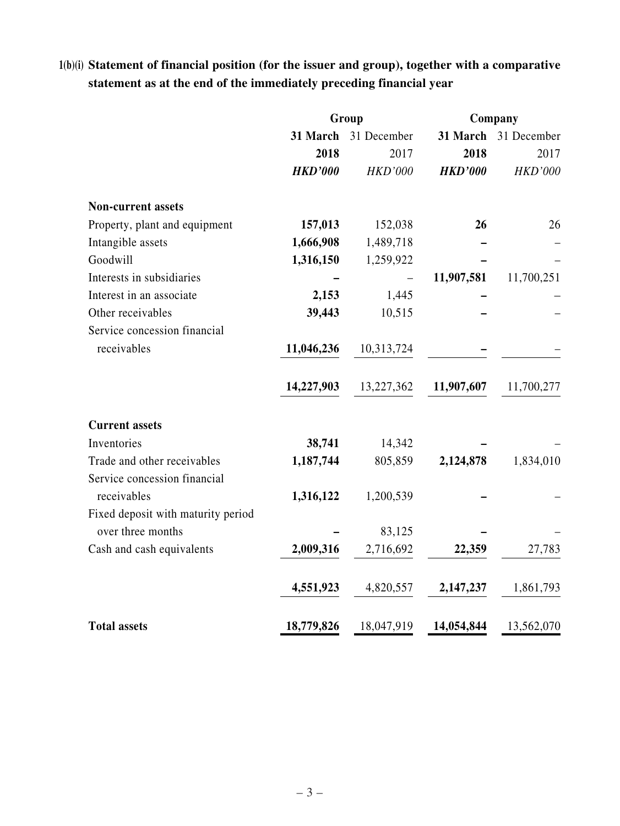# **1(b)(i) Statement of financial position (for the issuer and group), together with a comparative statement as at the end of the immediately preceding financial year**

|                                    | Group          |                |                | Company        |  |
|------------------------------------|----------------|----------------|----------------|----------------|--|
|                                    | 31 March       | 31 December    | 31 March       | 31 December    |  |
|                                    | 2018           | 2017           | 2018           | 2017           |  |
|                                    | <b>HKD'000</b> | <b>HKD'000</b> | <b>HKD'000</b> | <b>HKD'000</b> |  |
| <b>Non-current assets</b>          |                |                |                |                |  |
| Property, plant and equipment      | 157,013        | 152,038        | 26             | 26             |  |
| Intangible assets                  | 1,666,908      | 1,489,718      |                |                |  |
| Goodwill                           | 1,316,150      | 1,259,922      |                |                |  |
| Interests in subsidiaries          |                |                | 11,907,581     | 11,700,251     |  |
| Interest in an associate           | 2,153          | 1,445          |                |                |  |
| Other receivables                  | 39,443         | 10,515         |                |                |  |
| Service concession financial       |                |                |                |                |  |
| receivables                        | 11,046,236     | 10,313,724     |                |                |  |
|                                    | 14,227,903     | 13,227,362     | 11,907,607     | 11,700,277     |  |
| <b>Current assets</b>              |                |                |                |                |  |
| Inventories                        | 38,741         | 14,342         |                |                |  |
| Trade and other receivables        | 1,187,744      | 805,859        | 2,124,878      | 1,834,010      |  |
| Service concession financial       |                |                |                |                |  |
| receivables                        | 1,316,122      | 1,200,539      |                |                |  |
| Fixed deposit with maturity period |                |                |                |                |  |
| over three months                  |                | 83,125         |                |                |  |
| Cash and cash equivalents          | 2,009,316      | 2,716,692      | 22,359         | 27,783         |  |
|                                    | 4,551,923      | 4,820,557      | 2,147,237      | 1,861,793      |  |
| <b>Total assets</b>                | 18,779,826     | 18,047,919     | 14,054,844     | 13,562,070     |  |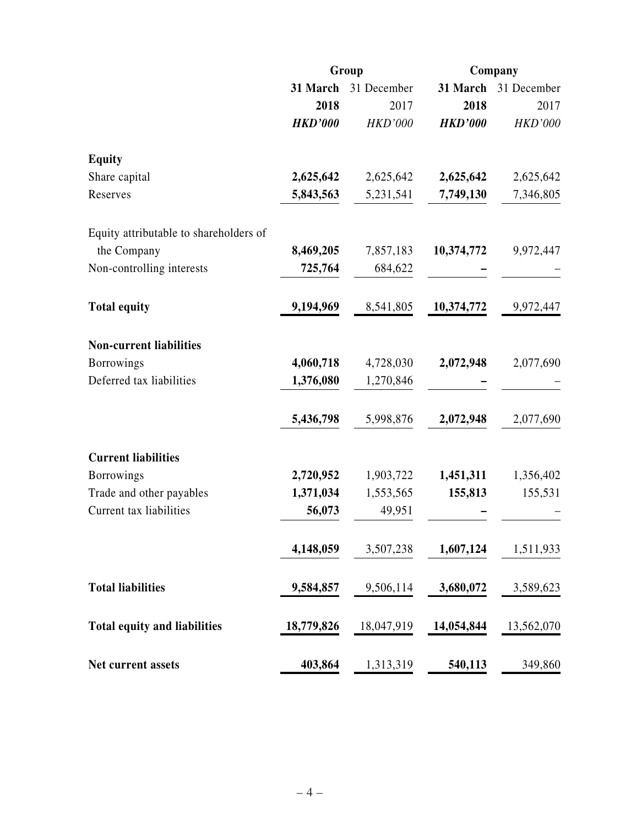|                                        | Group          |                      | Company        |                |
|----------------------------------------|----------------|----------------------|----------------|----------------|
|                                        |                | 31 March 31 December | 31 March       | 31 December    |
|                                        | 2018           | 2017                 | 2018           | 2017           |
|                                        | <b>HKD'000</b> | <b>HKD'000</b>       | <b>HKD'000</b> | <b>HKD'000</b> |
| <b>Equity</b>                          |                |                      |                |                |
| Share capital                          | 2,625,642      | 2,625,642            | 2,625,642      | 2,625,642      |
| Reserves                               | 5,843,563      | 5,231,541            | 7,749,130      | 7,346,805      |
| Equity attributable to shareholders of |                |                      |                |                |
| the Company                            | 8,469,205      | 7,857,183            | 10,374,772     | 9,972,447      |
| Non-controlling interests              | 725,764        | 684,622              |                |                |
| <b>Total equity</b>                    | 9,194,969      | 8,541,805            | 10,374,772     | 9,972,447      |
| <b>Non-current liabilities</b>         |                |                      |                |                |
| <b>Borrowings</b>                      | 4,060,718      | 4,728,030            | 2,072,948      | 2,077,690      |
| Deferred tax liabilities               | 1,376,080      | 1,270,846            |                |                |
|                                        | 5,436,798      | 5,998,876            | 2,072,948      | 2,077,690      |
| <b>Current liabilities</b>             |                |                      |                |                |
| <b>Borrowings</b>                      | 2,720,952      | 1,903,722            | 1,451,311      | 1,356,402      |
| Trade and other payables               | 1,371,034      | 1,553,565            | 155,813        | 155,531        |
| Current tax liabilities                | 56,073         | 49,951               |                |                |
|                                        | 4,148,059      | 3,507,238            | 1,607,124      | 1,511,933      |
| <b>Total liabilities</b>               | 9,584,857      | 9,506,114            | 3,680,072      | 3,589,623      |
| <b>Total equity and liabilities</b>    | 18,779,826     | 18,047,919           | 14,054,844     | 13,562,070     |
| Net current assets                     | 403,864        | 1,313,319            | 540,113        | 349,860        |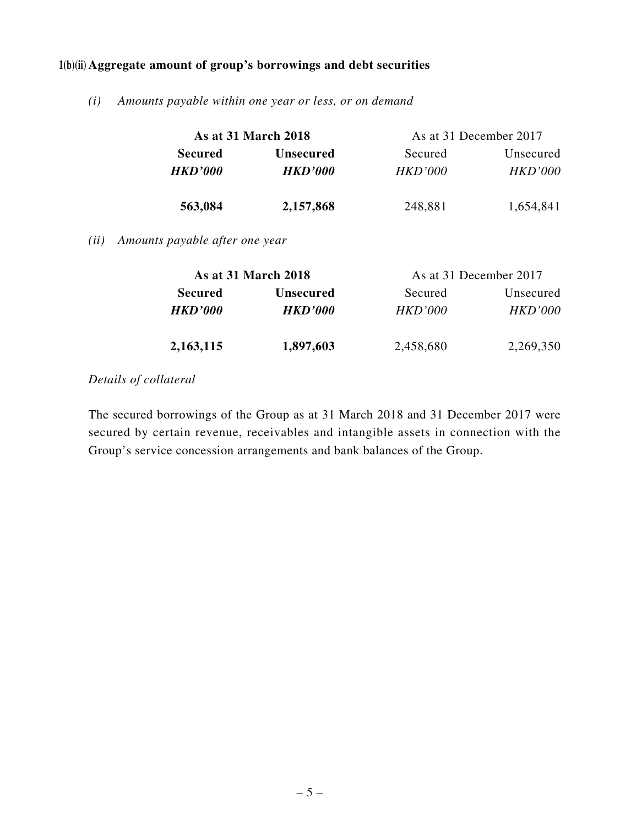### **1(b)(ii) Aggregate amount of group's borrowings and debt securities**

*(i) Amounts payable within one year or less, or on demand*

|                | As at 31 March 2018   |                | As at 31 December 2017 |
|----------------|-----------------------|----------------|------------------------|
| <b>Secured</b> | <b>Unsecured</b>      | Secured        | Unsecured              |
| <b>HKD'000</b> | <i><b>HKD'000</b></i> | <i>HKD'000</i> | HKD'000                |
| 563,084        | 2,157,868             | 248,881        | 1,654,841              |
|                |                       |                |                        |

*(ii) Amounts payable after one year*

|                | <b>As at 31 March 2018</b> | As at 31 December 2017 |                |
|----------------|----------------------------|------------------------|----------------|
| <b>Secured</b> | <b>Unsecured</b>           | Secured                | Unsecured      |
| <b>HKD'000</b> | <b>HKD'000</b>             | HKD'000                | <b>HKD'000</b> |
| 2,163,115      | 1,897,603                  | 2,458,680              | 2,269,350      |

### *Details of collateral*

The secured borrowings of the Group as at 31 March 2018 and 31 December 2017 were secured by certain revenue, receivables and intangible assets in connection with the Group's service concession arrangements and bank balances of the Group.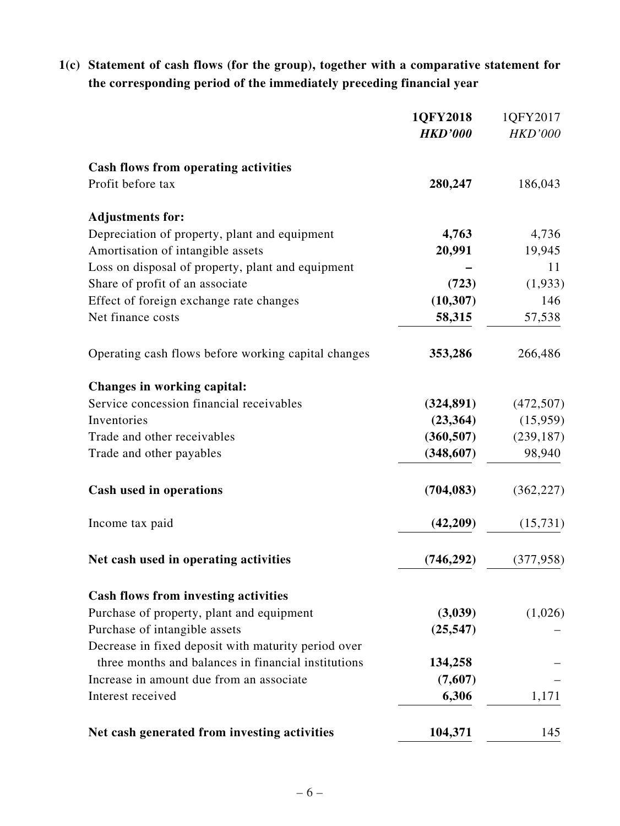# **1(c) Statement of cash flows (for the group), together with a comparative statement for the corresponding period of the immediately preceding financial year**

|                                                     | 1QFY2018       | 1QFY2017       |
|-----------------------------------------------------|----------------|----------------|
|                                                     | <b>HKD'000</b> | <b>HKD'000</b> |
| <b>Cash flows from operating activities</b>         |                |                |
| Profit before tax                                   | 280,247        | 186,043        |
| <b>Adjustments for:</b>                             |                |                |
| Depreciation of property, plant and equipment       | 4,763          | 4,736          |
| Amortisation of intangible assets                   | 20,991         | 19,945         |
| Loss on disposal of property, plant and equipment   |                | 11             |
| Share of profit of an associate                     | (723)          | (1,933)        |
| Effect of foreign exchange rate changes             | (10, 307)      | 146            |
| Net finance costs                                   | 58,315         | 57,538         |
| Operating cash flows before working capital changes | 353,286        | 266,486        |
| Changes in working capital:                         |                |                |
| Service concession financial receivables            | (324, 891)     | (472, 507)     |
| Inventories                                         | (23,364)       | (15,959)       |
| Trade and other receivables                         | (360, 507)     | (239, 187)     |
| Trade and other payables                            | (348,607)      | 98,940         |
| Cash used in operations                             | (704, 083)     | (362, 227)     |
| Income tax paid                                     | (42, 209)      | (15, 731)      |
| Net cash used in operating activities               | (746, 292)     | (377, 958)     |
| <b>Cash flows from investing activities</b>         |                |                |
| Purchase of property, plant and equipment           | (3,039)        | (1,026)        |
| Purchase of intangible assets                       | (25, 547)      |                |
| Decrease in fixed deposit with maturity period over |                |                |
| three months and balances in financial institutions | 134,258        |                |
| Increase in amount due from an associate            | (7,607)        |                |
| Interest received                                   | 6,306          | 1,171          |
| Net cash generated from investing activities        | 104,371        | 145            |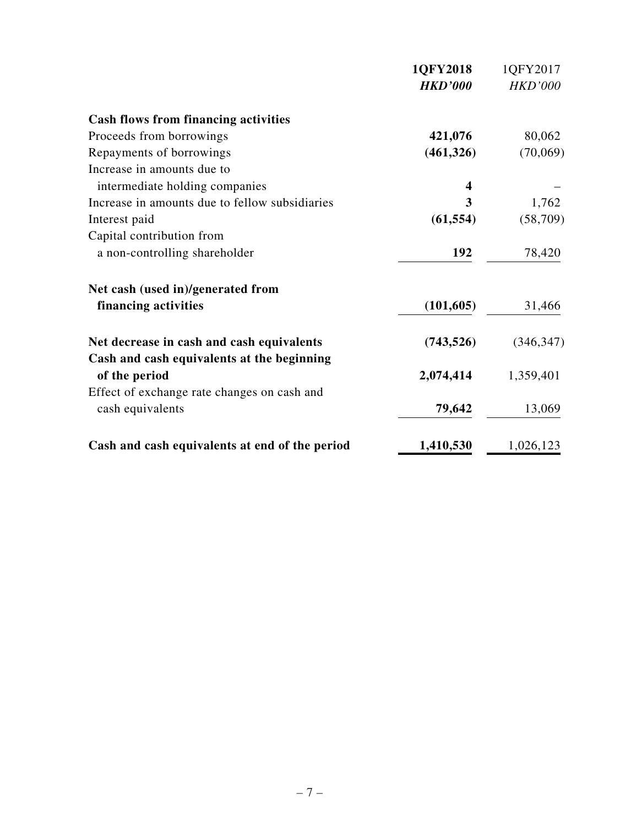|                                                | 1QFY2018       | 1QFY2017       |
|------------------------------------------------|----------------|----------------|
|                                                | <b>HKD'000</b> | <b>HKD'000</b> |
| <b>Cash flows from financing activities</b>    |                |                |
| Proceeds from borrowings                       | 421,076        | 80,062         |
| Repayments of borrowings                       | (461,326)      | (70,069)       |
| Increase in amounts due to                     |                |                |
| intermediate holding companies                 | 4              |                |
| Increase in amounts due to fellow subsidiaries | 3              | 1,762          |
| Interest paid                                  | (61, 554)      | (58,709)       |
| Capital contribution from                      |                |                |
| a non-controlling shareholder                  | 192            | 78,420         |
| Net cash (used in)/generated from              |                |                |
| financing activities                           | (101, 605)     | 31,466         |
| Net decrease in cash and cash equivalents      | (743, 526)     | (346, 347)     |
| Cash and cash equivalents at the beginning     |                |                |
| of the period                                  | 2,074,414      | 1,359,401      |
| Effect of exchange rate changes on cash and    |                |                |
| cash equivalents                               | 79,642         | 13,069         |
| Cash and cash equivalents at end of the period | 1,410,530      | 1,026,123      |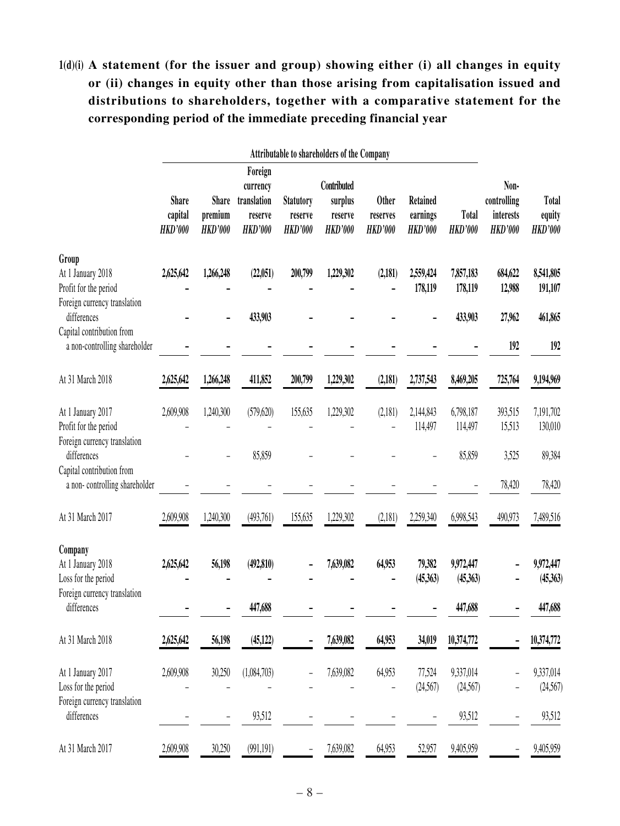# **1(d)(i) A statement (for the issuer and group) showing either (i) all changes in equity or (ii) changes in equity other than those arising from capitalisation issued and distributions to shareholders, together with a comparative statement for the corresponding period of the immediate preceding financial year**

|                                                                                     | Attributable to shareholders of the Company |                                           |                                                                 |                                               |                                                     |                                            |                                               |                         |                                                    |                                          |
|-------------------------------------------------------------------------------------|---------------------------------------------|-------------------------------------------|-----------------------------------------------------------------|-----------------------------------------------|-----------------------------------------------------|--------------------------------------------|-----------------------------------------------|-------------------------|----------------------------------------------------|------------------------------------------|
|                                                                                     | <b>Share</b><br>capital<br><b>HKD'000</b>   | <b>Share</b><br>premium<br><b>HKD'000</b> | Foreign<br>currency<br>translation<br>reserve<br><b>HKD'000</b> | <b>Statutory</b><br>reserve<br><b>HKD'000</b> | Contributed<br>surplus<br>reserve<br><b>HKD'000</b> | <b>Other</b><br>reserves<br><b>HKD'000</b> | <b>Retained</b><br>earnings<br><b>HKD'000</b> | Total<br><b>HKD'000</b> | Non-<br>controlling<br>interests<br><b>HKD'000</b> | <b>Total</b><br>equity<br><b>HKD'000</b> |
| Group<br>At 1 January 2018<br>Profit for the period                                 | 2,625,642                                   | 1,266,248                                 | (22,051)                                                        | 200,799                                       | 1,229,302                                           | (2,181)                                    | 2,559,424<br>178,119                          | 7,857,183<br>178,119    | 684,622<br>12,988                                  | 8,541,805<br>191,107                     |
| Foreign currency translation<br>differences<br>Capital contribution from            |                                             |                                           | 433,903                                                         |                                               |                                                     |                                            |                                               | 433,903                 | 27,962                                             | 461,865                                  |
| a non-controlling shareholder                                                       |                                             |                                           |                                                                 |                                               |                                                     |                                            |                                               |                         | 192                                                | 192                                      |
| At 31 March 2018                                                                    | 2,625,642                                   | 1,266,248                                 | 411,852                                                         | 200,799                                       | 1,229,302                                           | (2,181)                                    | 2,737,543                                     | 8,469,205               | 725,764                                            | 9,194,969                                |
| At 1 January 2017<br>Profit for the period<br>Foreign currency translation          | 2,609,908                                   | 1,240,300                                 | (579, 620)                                                      | 155,635                                       | 1,229,302                                           | (2,181)                                    | 2,144,843<br>114,497                          | 6,798,187<br>114,497    | 393,515<br>15,513                                  | 7,191,702<br>130,010                     |
| differences<br>Capital contribution from<br>a non-controlling shareholder           |                                             |                                           | 85,859                                                          |                                               |                                                     |                                            |                                               | 85,859                  | 3,525<br>78,420                                    | 89,384<br>78,420                         |
| At 31 March 2017                                                                    | 2,609,908                                   | 1,240,300                                 | (493,761)                                                       | 155,635                                       | 1,229,302                                           | (2,181)                                    | 2,259,340                                     | 6,998,543               | 490,973                                            | 7,489,516                                |
| Company<br>At 1 January 2018<br>Loss for the period<br>Foreign currency translation | 2,625,642                                   | 56,198                                    | (492, 810)                                                      |                                               | 7,639,082                                           | 64,953                                     | 79,382<br>(45,363)                            | 9,972,447<br>(45,363)   |                                                    | 9,972,447<br>(45,363)                    |
| differences                                                                         |                                             |                                           | 447,688                                                         |                                               |                                                     |                                            |                                               | 447,688                 |                                                    | 447,688                                  |
| At 31 March 2018                                                                    | 2,625,642                                   | 56,198                                    | (45, 122)                                                       |                                               | 7,639,082                                           | 64,953                                     | 34,019                                        | 10,374,772              |                                                    | 10,374,772                               |
| At 1 January 2017<br>Loss for the period<br>Foreign currency translation            | 2,609,908                                   | 30,250                                    | (1,084,703)                                                     |                                               | 7,639,082                                           | 64,953                                     | 77,524<br>(24,567)                            | 9,337,014<br>(24,567)   |                                                    | 9,337,014<br>(24, 567)                   |
| differences                                                                         |                                             | -                                         | 93,512                                                          |                                               |                                                     |                                            |                                               | 93,512                  | $\overline{a}$                                     | 93,512                                   |
| At 31 March 2017                                                                    | 2,609,908                                   | 30,250                                    | (991, 191)                                                      | -                                             | 7,639,082                                           | 64,953                                     | 52,957                                        | 9,405,959               |                                                    | 9,405,959                                |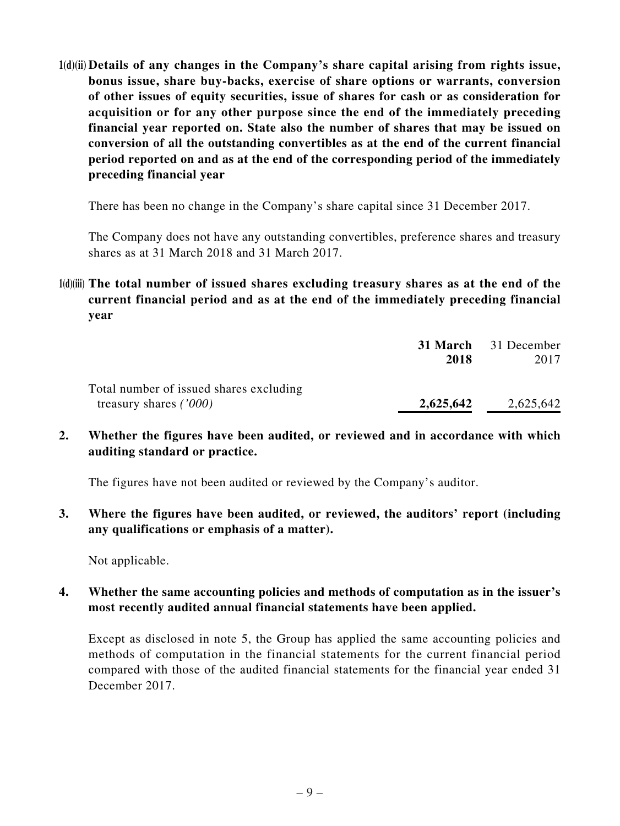**1(d)(ii) Details of any changes in the Company's share capital arising from rights issue, bonus issue, share buy-backs, exercise of share options or warrants, conversion of other issues of equity securities, issue of shares for cash or as consideration for acquisition or for any other purpose since the end of the immediately preceding financial year reported on. State also the number of shares that may be issued on conversion of all the outstanding convertibles as at the end of the current financial period reported on and as at the end of the corresponding period of the immediately preceding financial year**

There has been no change in the Company's share capital since 31 December 2017.

The Company does not have any outstanding convertibles, preference shares and treasury shares as at 31 March 2018 and 31 March 2017.

**1(d)(iii) The total number of issued shares excluding treasury shares as at the end of the current financial period and as at the end of the immediately preceding financial year**

|                                         |           | <b>31 March</b> 31 December |
|-----------------------------------------|-----------|-----------------------------|
|                                         | 2018      | 2017                        |
| Total number of issued shares excluding |           |                             |
| treasury shares $(7000)$                | 2,625,642 | 2,625,642                   |

**2. Whether the figures have been audited, or reviewed and in accordance with which auditing standard or practice.**

The figures have not been audited or reviewed by the Company's auditor.

**3. Where the figures have been audited, or reviewed, the auditors' report (including any qualifications or emphasis of a matter).**

Not applicable.

**4. Whether the same accounting policies and methods of computation as in the issuer's most recently audited annual financial statements have been applied.**

Except as disclosed in note 5, the Group has applied the same accounting policies and methods of computation in the financial statements for the current financial period compared with those of the audited financial statements for the financial year ended 31 December 2017.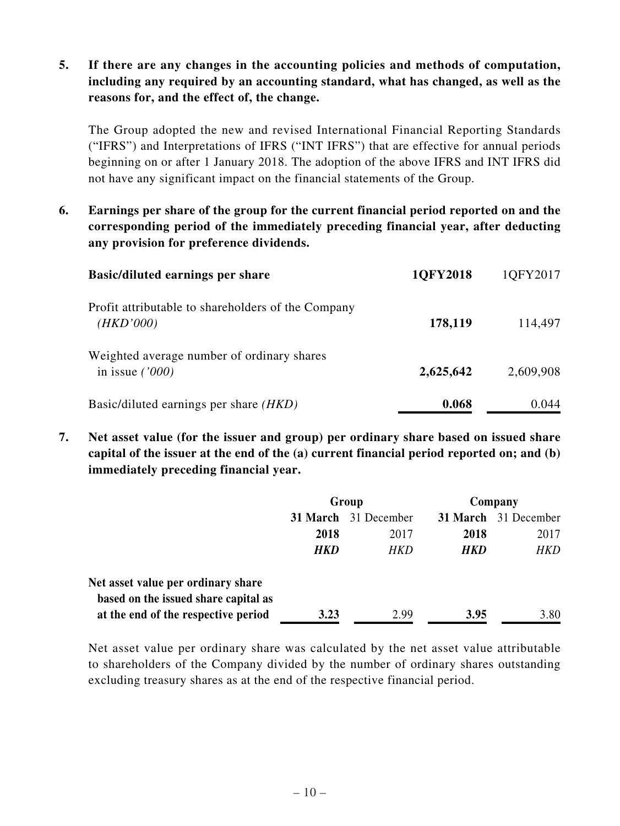### **5. If there are any changes in the accounting policies and methods of computation, including any required by an accounting standard, what has changed, as well as the reasons for, and the effect of, the change.**

The Group adopted the new and revised International Financial Reporting Standards ("IFRS") and Interpretations of IFRS ("INT IFRS") that are effective for annual periods beginning on or after 1 January 2018. The adoption of the above IFRS and INT IFRS did not have any significant impact on the financial statements of the Group.

**6. Earnings per share of the group for the current financial period reported on and the corresponding period of the immediately preceding financial year, after deducting any provision for preference dividends.**

| <b>Basic/diluted earnings per share</b>                         | 1QFY2018  | 1QFY2017  |
|-----------------------------------------------------------------|-----------|-----------|
| Profit attributable to shareholders of the Company<br>(HKD'000) | 178,119   | 114,497   |
| Weighted average number of ordinary shares<br>in issue $('000)$ | 2,625,642 | 2,609,908 |
| Basic/diluted earnings per share ( <i>HKD</i> )                 | 0.068     | 0.044     |

**7. Net asset value (for the issuer and group) per ordinary share based on issued share capital of the issuer at the end of the (a) current financial period reported on; and (b) immediately preceding financial year.**

|                                      | Group      |                             | Company |                      |
|--------------------------------------|------------|-----------------------------|---------|----------------------|
|                                      |            | <b>31 March</b> 31 December |         | 31 March 31 December |
|                                      | 2018       | 2017                        | 2018    | 2017                 |
|                                      | <b>HKD</b> | HKD                         | HKD     | HKD                  |
| Net asset value per ordinary share   |            |                             |         |                      |
| based on the issued share capital as |            |                             |         |                      |
| at the end of the respective period  | 3.23       | 2.99                        | 3.95    | 3.80                 |

Net asset value per ordinary share was calculated by the net asset value attributable to shareholders of the Company divided by the number of ordinary shares outstanding excluding treasury shares as at the end of the respective financial period.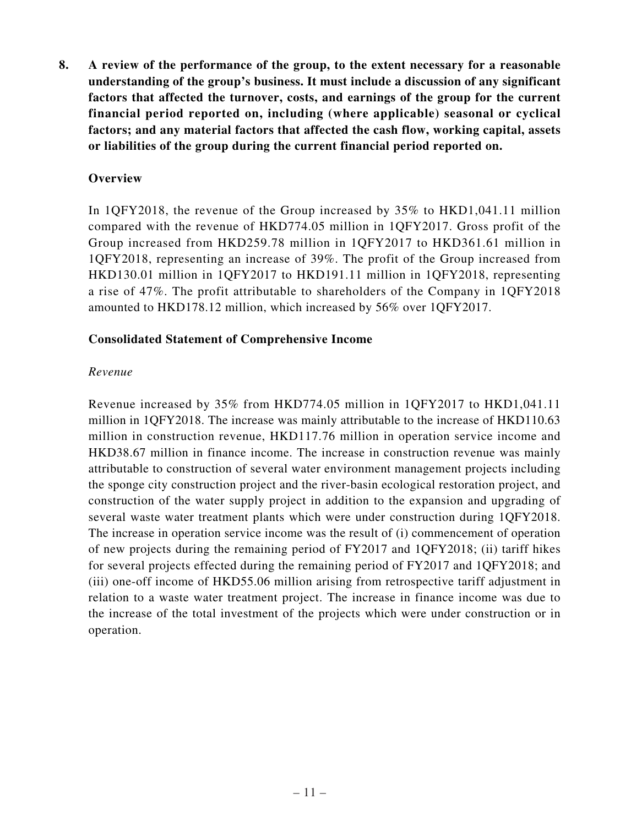**8. A review of the performance of the group, to the extent necessary for a reasonable understanding of the group's business. It must include a discussion of any significant factors that affected the turnover, costs, and earnings of the group for the current financial period reported on, including (where applicable) seasonal or cyclical factors; and any material factors that affected the cash flow, working capital, assets or liabilities of the group during the current financial period reported on.**

#### **Overview**

In 1QFY2018, the revenue of the Group increased by 35% to HKD1,041.11 million compared with the revenue of HKD774.05 million in 1QFY2017. Gross profit of the Group increased from HKD259.78 million in 1QFY2017 to HKD361.61 million in 1QFY2018, representing an increase of 39%. The profit of the Group increased from HKD130.01 million in 1QFY2017 to HKD191.11 million in 1QFY2018, representing a rise of 47%. The profit attributable to shareholders of the Company in 1QFY2018 amounted to HKD178.12 million, which increased by 56% over 1QFY2017.

#### **Consolidated Statement of Comprehensive Income**

#### *Revenue*

Revenue increased by 35% from HKD774.05 million in 1QFY2017 to HKD1,041.11 million in 1QFY2018. The increase was mainly attributable to the increase of HKD110.63 million in construction revenue, HKD117.76 million in operation service income and HKD38.67 million in finance income. The increase in construction revenue was mainly attributable to construction of several water environment management projects including the sponge city construction project and the river-basin ecological restoration project, and construction of the water supply project in addition to the expansion and upgrading of several waste water treatment plants which were under construction during 1QFY2018. The increase in operation service income was the result of (i) commencement of operation of new projects during the remaining period of FY2017 and 1QFY2018; (ii) tariff hikes for several projects effected during the remaining period of FY2017 and 1QFY2018; and (iii) one-off income of HKD55.06 million arising from retrospective tariff adjustment in relation to a waste water treatment project. The increase in finance income was due to the increase of the total investment of the projects which were under construction or in operation.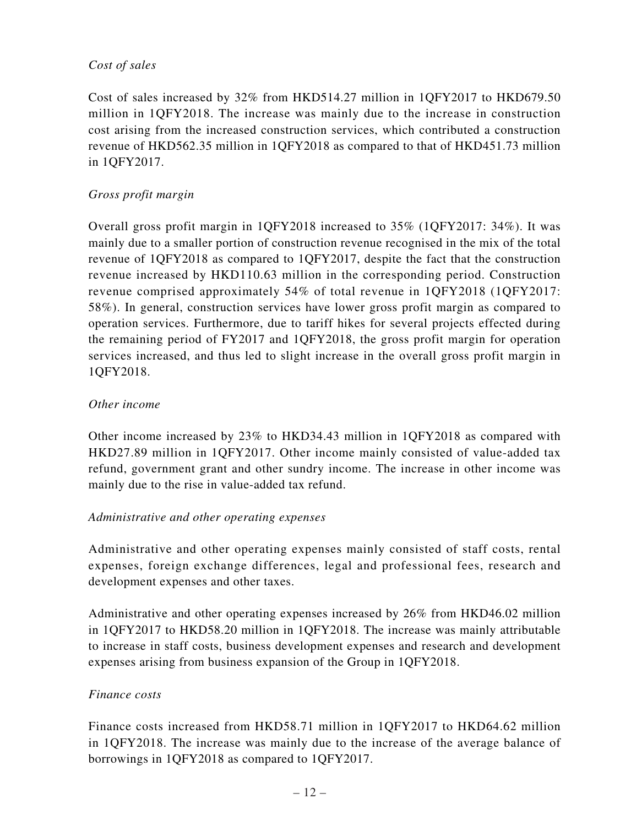### *Cost of sales*

Cost of sales increased by 32% from HKD514.27 million in 1QFY2017 to HKD679.50 million in 1QFY2018. The increase was mainly due to the increase in construction cost arising from the increased construction services, which contributed a construction revenue of HKD562.35 million in 1QFY2018 as compared to that of HKD451.73 million in 1QFY2017.

### *Gross profit margin*

Overall gross profit margin in 1QFY2018 increased to 35% (1QFY2017: 34%). It was mainly due to a smaller portion of construction revenue recognised in the mix of the total revenue of 1QFY2018 as compared to 1QFY2017, despite the fact that the construction revenue increased by HKD110.63 million in the corresponding period. Construction revenue comprised approximately 54% of total revenue in 1QFY2018 (1QFY2017: 58%). In general, construction services have lower gross profit margin as compared to operation services. Furthermore, due to tariff hikes for several projects effected during the remaining period of FY2017 and 1QFY2018, the gross profit margin for operation services increased, and thus led to slight increase in the overall gross profit margin in 1QFY2018.

### *Other income*

Other income increased by 23% to HKD34.43 million in 1QFY2018 as compared with HKD27.89 million in 1QFY2017. Other income mainly consisted of value-added tax refund, government grant and other sundry income. The increase in other income was mainly due to the rise in value-added tax refund.

### *Administrative and other operating expenses*

Administrative and other operating expenses mainly consisted of staff costs, rental expenses, foreign exchange differences, legal and professional fees, research and development expenses and other taxes.

Administrative and other operating expenses increased by 26% from HKD46.02 million in 1QFY2017 to HKD58.20 million in 1QFY2018. The increase was mainly attributable to increase in staff costs, business development expenses and research and development expenses arising from business expansion of the Group in 1QFY2018.

### *Finance costs*

Finance costs increased from HKD58.71 million in 1QFY2017 to HKD64.62 million in 1QFY2018. The increase was mainly due to the increase of the average balance of borrowings in 1QFY2018 as compared to 1QFY2017.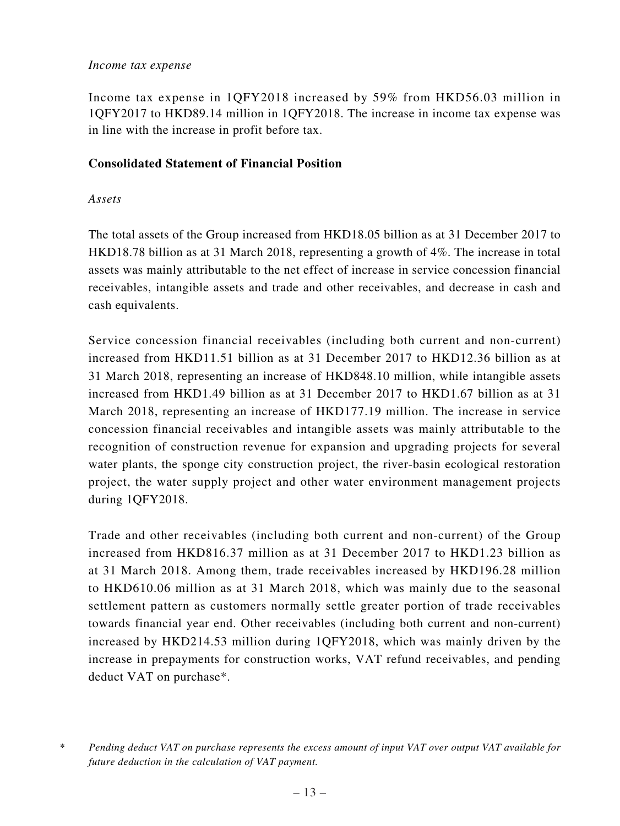#### *Income tax expense*

Income tax expense in 1QFY2018 increased by 59% from HKD56.03 million in 1QFY2017 to HKD89.14 million in 1QFY2018. The increase in income tax expense was in line with the increase in profit before tax.

### **Consolidated Statement of Financial Position**

### *Assets*

The total assets of the Group increased from HKD18.05 billion as at 31 December 2017 to HKD18.78 billion as at 31 March 2018, representing a growth of 4%. The increase in total assets was mainly attributable to the net effect of increase in service concession financial receivables, intangible assets and trade and other receivables, and decrease in cash and cash equivalents.

Service concession financial receivables (including both current and non-current) increased from HKD11.51 billion as at 31 December 2017 to HKD12.36 billion as at 31 March 2018, representing an increase of HKD848.10 million, while intangible assets increased from HKD1.49 billion as at 31 December 2017 to HKD1.67 billion as at 31 March 2018, representing an increase of HKD177.19 million. The increase in service concession financial receivables and intangible assets was mainly attributable to the recognition of construction revenue for expansion and upgrading projects for several water plants, the sponge city construction project, the river-basin ecological restoration project, the water supply project and other water environment management projects during 1QFY2018.

Trade and other receivables (including both current and non-current) of the Group increased from HKD816.37 million as at 31 December 2017 to HKD1.23 billion as at 31 March 2018. Among them, trade receivables increased by HKD196.28 million to HKD610.06 million as at 31 March 2018, which was mainly due to the seasonal settlement pattern as customers normally settle greater portion of trade receivables towards financial year end. Other receivables (including both current and non-current) increased by HKD214.53 million during 1QFY2018, which was mainly driven by the increase in prepayments for construction works, VAT refund receivables, and pending deduct VAT on purchase\*.

*<sup>\*</sup> Pending deduct VAT on purchase represents the excess amount of input VAT over output VAT available for future deduction in the calculation of VAT payment.*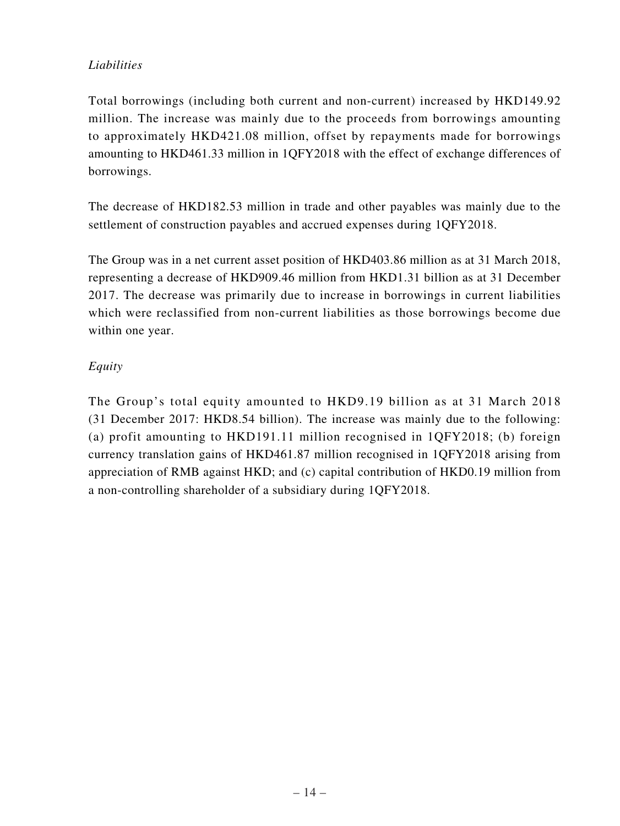### *Liabilities*

Total borrowings (including both current and non-current) increased by HKD149.92 million. The increase was mainly due to the proceeds from borrowings amounting to approximately HKD421.08 million, offset by repayments made for borrowings amounting to HKD461.33 million in 1QFY2018 with the effect of exchange differences of borrowings.

The decrease of HKD182.53 million in trade and other payables was mainly due to the settlement of construction payables and accrued expenses during 1QFY2018.

The Group was in a net current asset position of HKD403.86 million as at 31 March 2018, representing a decrease of HKD909.46 million from HKD1.31 billion as at 31 December 2017. The decrease was primarily due to increase in borrowings in current liabilities which were reclassified from non-current liabilities as those borrowings become due within one year.

### *Equity*

The Group's total equity amounted to HKD9.19 billion as at 31 March 2018 (31 December 2017: HKD8.54 billion). The increase was mainly due to the following: (a) profit amounting to HKD191.11 million recognised in 1QFY2018; (b) foreign currency translation gains of HKD461.87 million recognised in 1QFY2018 arising from appreciation of RMB against HKD; and (c) capital contribution of HKD0.19 million from a non-controlling shareholder of a subsidiary during 1QFY2018.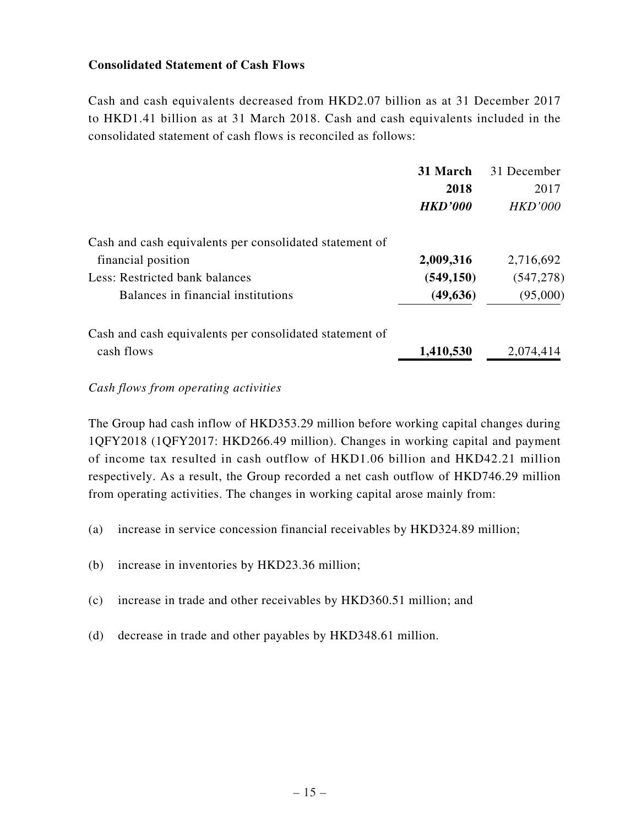### **Consolidated Statement of Cash Flows**

Cash and cash equivalents decreased from HKD2.07 billion as at 31 December 2017 to HKD1.41 billion as at 31 March 2018. Cash and cash equivalents included in the consolidated statement of cash flows is reconciled as follows:

|                                                         | 31 March       | 31 December |
|---------------------------------------------------------|----------------|-------------|
|                                                         | 2018           | 2017        |
|                                                         | <b>HKD'000</b> | HKD'000     |
| Cash and cash equivalents per consolidated statement of |                |             |
| financial position                                      | 2,009,316      | 2,716,692   |
| Less: Restricted bank balances                          | (549, 150)     | (547, 278)  |
| Balances in financial institutions                      | (49, 636)      | (95,000)    |
| Cash and cash equivalents per consolidated statement of |                |             |
| cash flows                                              | 1,410,530      | 2,074,414   |

#### *Cash flows from operating activities*

The Group had cash inflow of HKD353.29 million before working capital changes during 1QFY2018 (1QFY2017: HKD266.49 million). Changes in working capital and payment of income tax resulted in cash outflow of HKD1.06 billion and HKD42.21 million respectively. As a result, the Group recorded a net cash outflow of HKD746.29 million from operating activities. The changes in working capital arose mainly from:

- (a) increase in service concession financial receivables by HKD324.89 million;
- (b) increase in inventories by HKD23.36 million;
- (c) increase in trade and other receivables by HKD360.51 million; and
- (d) decrease in trade and other payables by HKD348.61 million.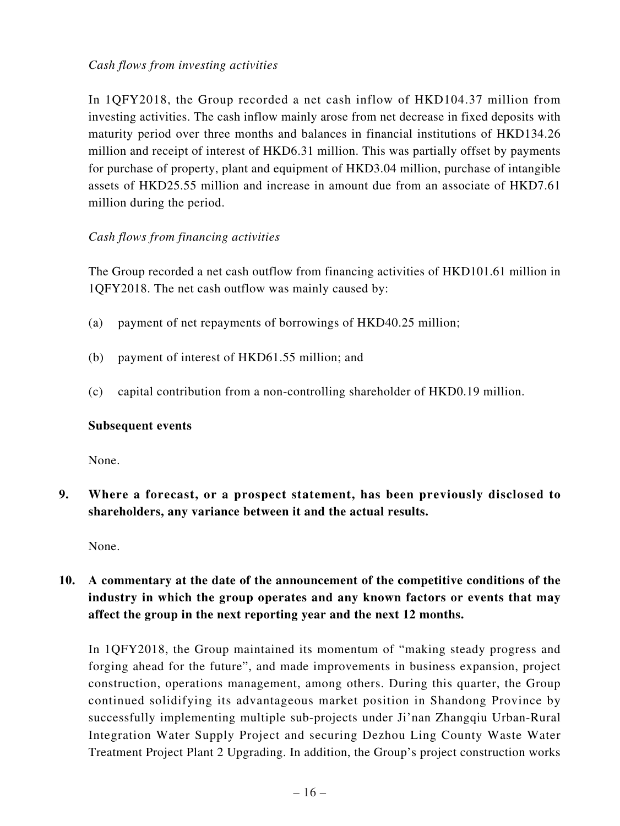### *Cash flows from investing activities*

In 1QFY2018, the Group recorded a net cash inflow of HKD104.37 million from investing activities. The cash inflow mainly arose from net decrease in fixed deposits with maturity period over three months and balances in financial institutions of HKD134.26 million and receipt of interest of HKD6.31 million. This was partially offset by payments for purchase of property, plant and equipment of HKD3.04 million, purchase of intangible assets of HKD25.55 million and increase in amount due from an associate of HKD7.61 million during the period.

### *Cash flows from financing activities*

The Group recorded a net cash outflow from financing activities of HKD101.61 million in 1QFY2018. The net cash outflow was mainly caused by:

- (a) payment of net repayments of borrowings of HKD40.25 million;
- (b) payment of interest of HKD61.55 million; and
- (c) capital contribution from a non-controlling shareholder of HKD0.19 million.

### **Subsequent events**

None.

**9. Where a forecast, or a prospect statement, has been previously disclosed to shareholders, any variance between it and the actual results.**

None.

**10. A commentary at the date of the announcement of the competitive conditions of the industry in which the group operates and any known factors or events that may affect the group in the next reporting year and the next 12 months.**

In 1QFY2018, the Group maintained its momentum of "making steady progress and forging ahead for the future", and made improvements in business expansion, project construction, operations management, among others. During this quarter, the Group continued solidifying its advantageous market position in Shandong Province by successfully implementing multiple sub-projects under Ji'nan Zhangqiu Urban-Rural Integration Water Supply Project and securing Dezhou Ling County Waste Water Treatment Project Plant 2 Upgrading. In addition, the Group's project construction works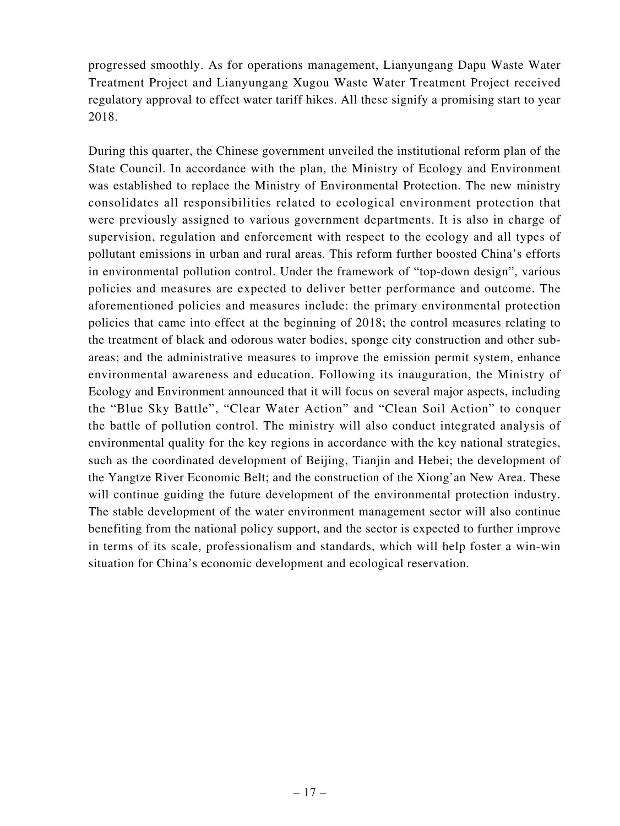progressed smoothly. As for operations management, Lianyungang Dapu Waste Water Treatment Project and Lianyungang Xugou Waste Water Treatment Project received regulatory approval to effect water tariff hikes. All these signify a promising start to year 2018.

During this quarter, the Chinese government unveiled the institutional reform plan of the State Council. In accordance with the plan, the Ministry of Ecology and Environment was established to replace the Ministry of Environmental Protection. The new ministry consolidates all responsibilities related to ecological environment protection that were previously assigned to various government departments. It is also in charge of supervision, regulation and enforcement with respect to the ecology and all types of pollutant emissions in urban and rural areas. This reform further boosted China's efforts in environmental pollution control. Under the framework of "top-down design", various policies and measures are expected to deliver better performance and outcome. The aforementioned policies and measures include: the primary environmental protection policies that came into effect at the beginning of 2018; the control measures relating to the treatment of black and odorous water bodies, sponge city construction and other subareas; and the administrative measures to improve the emission permit system, enhance environmental awareness and education. Following its inauguration, the Ministry of Ecology and Environment announced that it will focus on several major aspects, including the "Blue Sky Battle", "Clear Water Action" and "Clean Soil Action" to conquer the battle of pollution control. The ministry will also conduct integrated analysis of environmental quality for the key regions in accordance with the key national strategies, such as the coordinated development of Beijing, Tianjin and Hebei; the development of the Yangtze River Economic Belt; and the construction of the Xiong'an New Area. These will continue guiding the future development of the environmental protection industry. The stable development of the water environment management sector will also continue benefiting from the national policy support, and the sector is expected to further improve in terms of its scale, professionalism and standards, which will help foster a win-win situation for China's economic development and ecological reservation.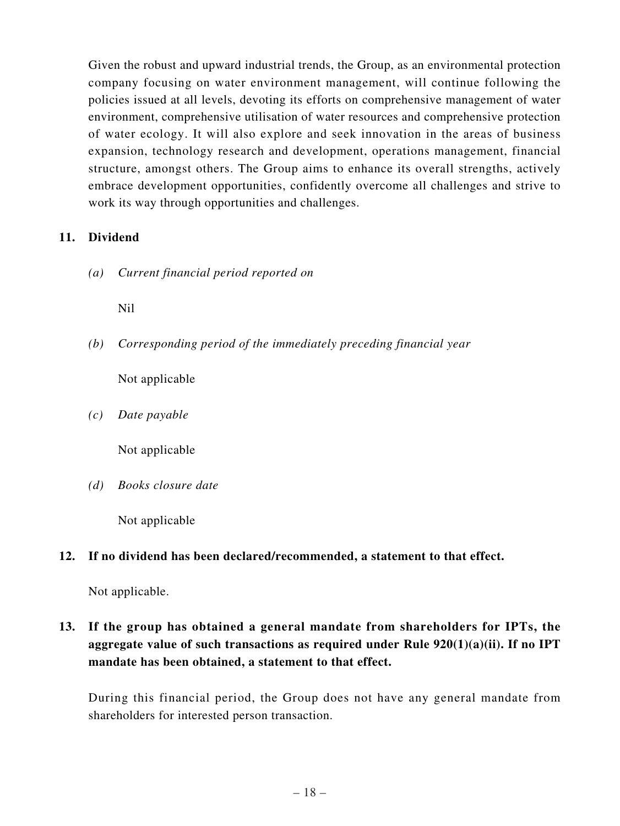Given the robust and upward industrial trends, the Group, as an environmental protection company focusing on water environment management, will continue following the policies issued at all levels, devoting its efforts on comprehensive management of water environment, comprehensive utilisation of water resources and comprehensive protection of water ecology. It will also explore and seek innovation in the areas of business expansion, technology research and development, operations management, financial structure, amongst others. The Group aims to enhance its overall strengths, actively embrace development opportunities, confidently overcome all challenges and strive to work its way through opportunities and challenges.

### **11. Dividend**

*(a) Current financial period reported on*

Nil

*(b) Corresponding period of the immediately preceding financial year*

Not applicable

*(c) Date payable*

Not applicable

*(d) Books closure date*

Not applicable

### **12. If no dividend has been declared/recommended, a statement to that effect.**

Not applicable.

**13. If the group has obtained a general mandate from shareholders for IPTs, the aggregate value of such transactions as required under Rule 920(1)(a)(ii). If no IPT mandate has been obtained, a statement to that effect.**

During this financial period, the Group does not have any general mandate from shareholders for interested person transaction.